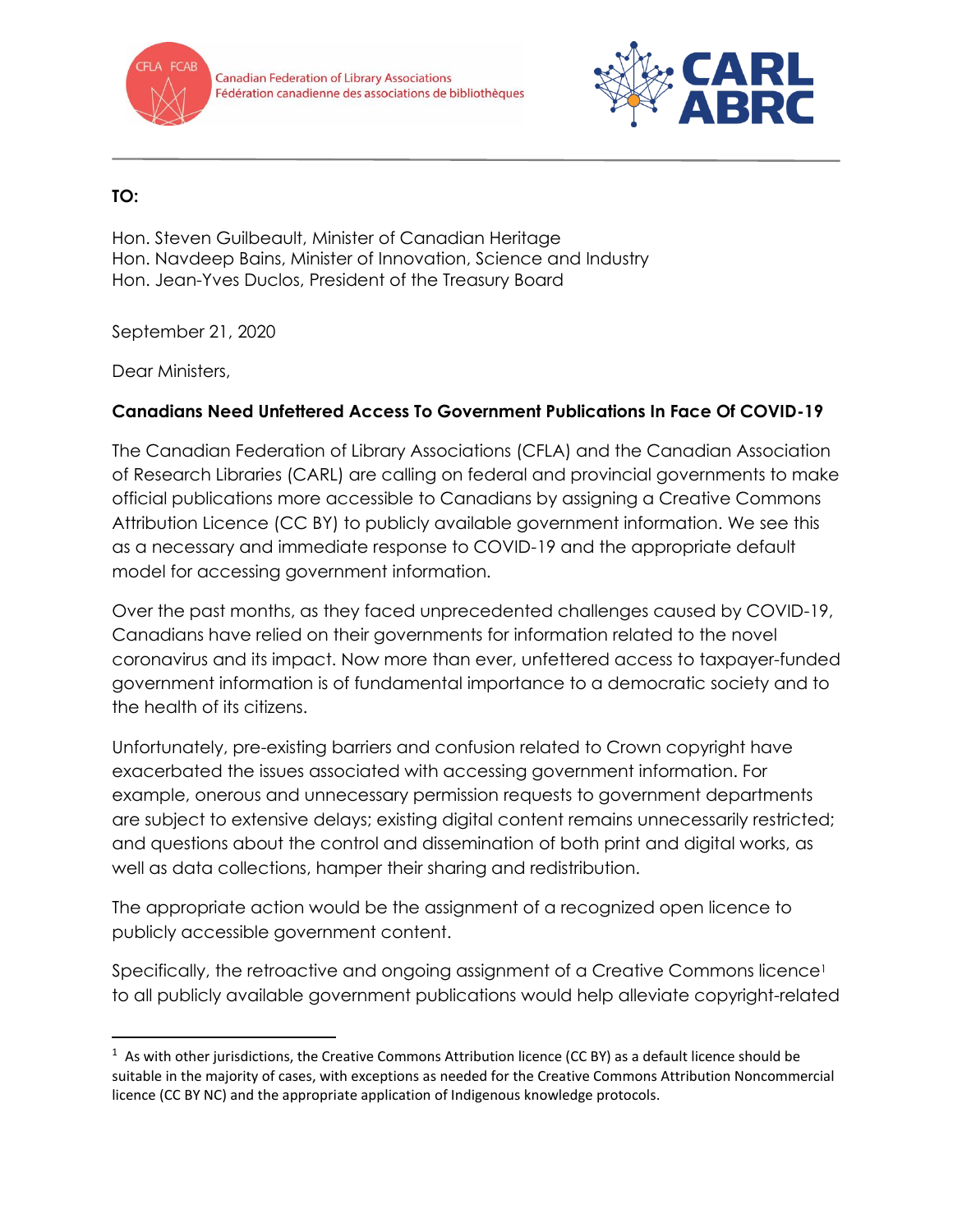



## **TO:**

Hon. Steven Guilbeault, Minister of Canadian Heritage Hon. Navdeep Bains, Minister of Innovation, Science and Industry Hon. Jean-Yves Duclos, President of the Treasury Board

September 21, 2020

Dear Ministers,

# **Canadians Need Unfettered Access To Government Publications In Face Of COVID-19**

The Canadian Federation of Library Associations (CFLA) and the Canadian Association of Research Libraries (CARL) are calling on federal and provincial governments to make official publications more accessible to Canadians by assigning a Creative Commons Attribution Licence (CC BY) to publicly available government information. We see this as a necessary and immediate response to COVID-19 and the appropriate default model for accessing government information.

Over the past months, as they faced unprecedented challenges caused by COVID-19, Canadians have relied on their governments for information related to the novel coronavirus and its impact. Now more than ever, unfettered access to taxpayer-funded government information is of fundamental importance to a democratic society and to the health of its citizens.

Unfortunately, pre-existing barriers and confusion related to Crown copyright have exacerbated the issues associated with accessing government information. For example, onerous and unnecessary permission requests to government departments are subject to extensive delays; existing digital content remains unnecessarily restricted; and questions about the control and dissemination of both print and digital works, as well as data collections, hamper their sharing and redistribution.

The appropriate action would be the assignment of a recognized open licence to publicly accessible government content.

Specifically, the retroactive and ongoing assignment of a Creative Commons licence<sup>1</sup> to all publicly available government publications would help alleviate copyright-related

 $1$  As with other jurisdictions, the Creative Commons Attribution licence (CC BY) as a default licence should be suitable in the majority of cases, with exceptions as needed for the Creative Commons Attribution Noncommercial licence (CC BY NC) and the appropriate application of Indigenous knowledge protocols.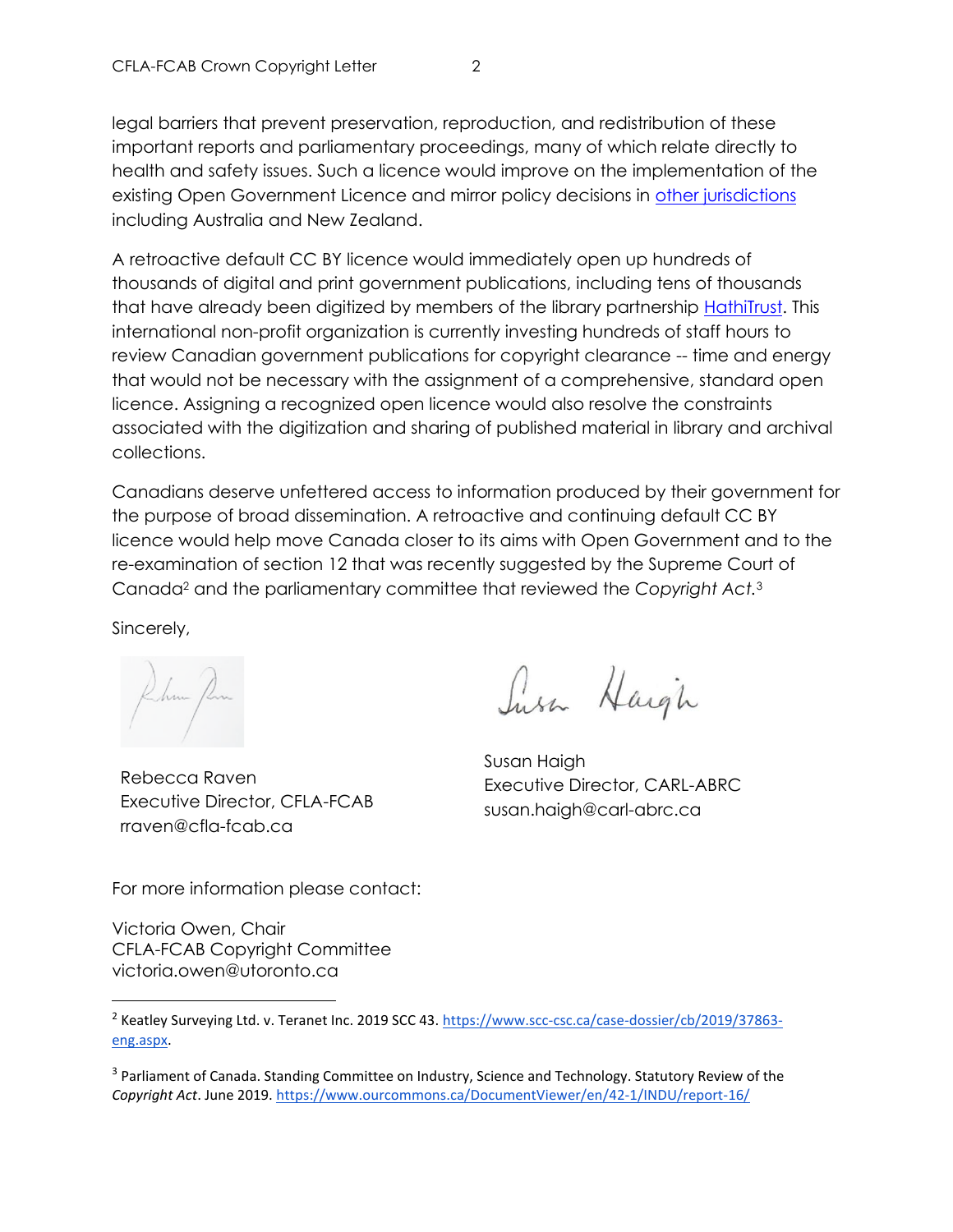legal barriers that prevent preservation, reproduction, and redistribution of these important reports and parliamentary proceedings, many of which relate directly to health and safety issues. Such a licence would improve on the implementation of the existing Open Government Licence and mirror policy decisions in [other jurisdictions](https://wiki.creativecommons.org/wiki/Government_use_of_Creative_Commons) including Australia and New Zealand.

A retroactive default CC BY licence would immediately open up hundreds of thousands of digital and print government publications, including tens of thousands that have already been digitized by members of the library partnership [HathiTrust.](https://www.hathitrust.org/about) This international non-profit organization is currently investing hundreds of staff hours to review Canadian government publications for copyright clearance -- time and energy that would not be necessary with the assignment of a comprehensive, standard open licence. Assigning a recognized open licence would also resolve the constraints associated with the digitization and sharing of published material in library and archival collections.

Canadians deserve unfettered access to information produced by their government for the purpose of broad dissemination. A retroactive and continuing default CC BY licence would help move Canada closer to its aims with Open Government and to the re-examination of section 12 that was recently suggested by the Supreme Court of Canada<sup>2</sup> and the parliamentary committee that reviewed the *Copyright Act.*<sup>3</sup>

Sincerely,

Rebecca Raven Executive Director, CFLA-FCAB rraven@cfla-fcab.ca

Lusa Hargh

Susan Haigh Executive Director, CARL-ABRC susan.haigh@carl-abrc.ca

For more information please contact:

Victoria Owen, Chair CFLA-FCAB Copyright Committee victoria.owen@utoronto.ca

<sup>&</sup>lt;sup>2</sup> Keatley Surveying Ltd. v. Teranet Inc. 2019 SCC 43[. https://www.scc-csc.ca/case-dossier/cb/2019/37863](https://www.scc-csc.ca/case-dossier/cb/2019/37863-eng.aspx) [eng.aspx.](https://www.scc-csc.ca/case-dossier/cb/2019/37863-eng.aspx)

<sup>&</sup>lt;sup>3</sup> Parliament of Canada. Standing Committee on Industry, Science and Technology. Statutory Review of the *Copyright Act*. June 2019[. https://www.ourcommons.ca/DocumentViewer/en/42-1/INDU/report-16/](https://www.ourcommons.ca/DocumentViewer/en/42-1/INDU/report-16/)